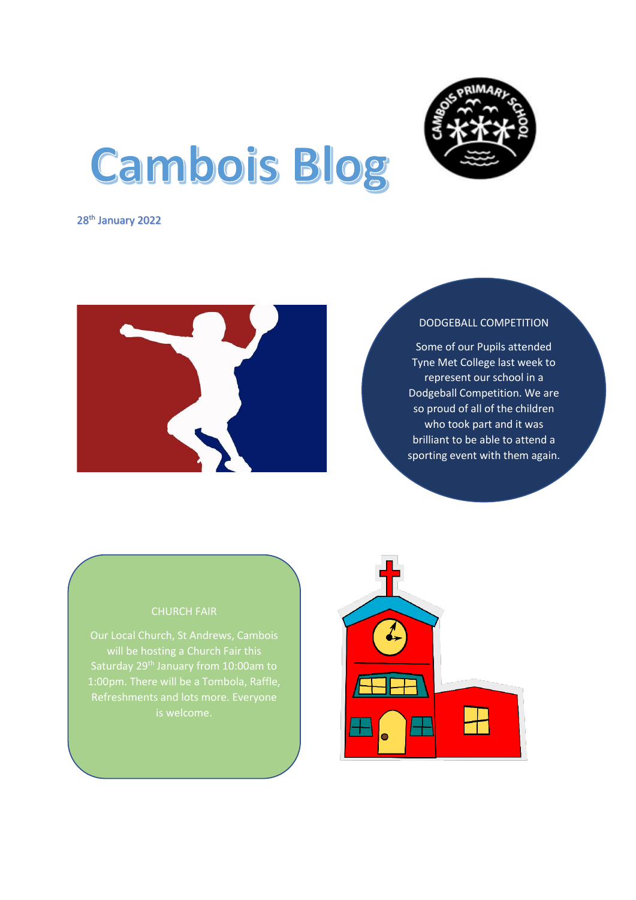

# **Cambois Blog**

28<sup>th</sup> January 2022



### DODGEBALL COMPETITION

Some of our Pupils attended Tyne Met College last week to represent our school in a Dodgeball Competition. We are so proud of all of the children who took part and it was brilliant to be able to attend a sporting event with them again.

will be hosting a Church Fair this Saturday 29<sup>th</sup> January from 10:00am to 1:00pm. There will be a Tombola, Raffle,

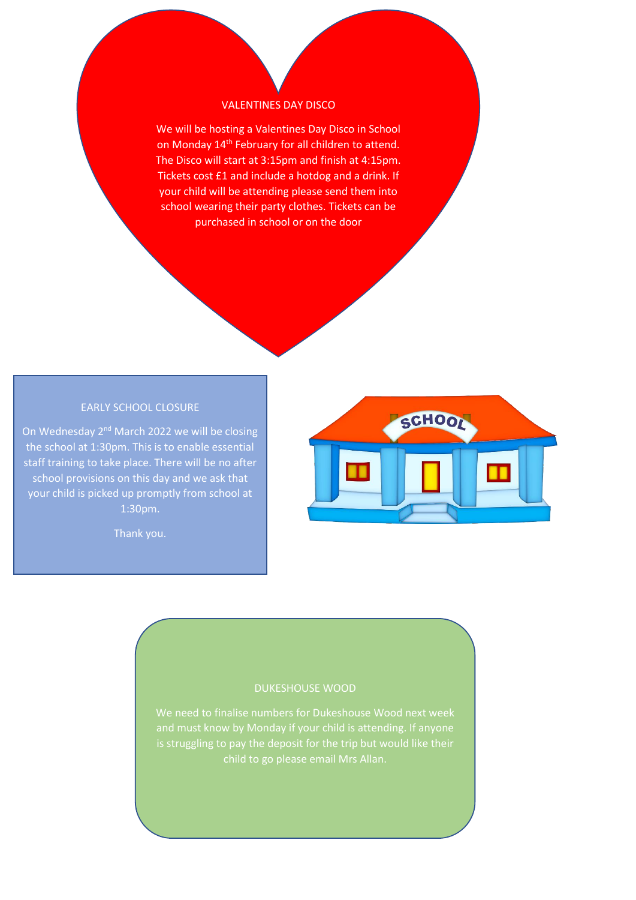### VALENTINES DAY DISCO

We will be hosting a Valentines Day Disco in School on Monday 14<sup>th</sup> February for all children to attend. The Disco will start at 3:15pm and finish at 4:15pm. Tickets cost £1 and include a hotdog and a drink. If your child will be attending please send them into school wearing their party clothes. Tickets can be purchased in school or on the door

# EARLY SCHOOL CLOSURE

On Wednesday 2<sup>nd</sup> March 2022 we will be closing the school at 1:30pm. This is to enable essential staff training to take place. There will be no after school provisions on this day and we ask that your child is picked up promptly from school at 1:30pm.

Thank you.



## DUKESHOUSE WOOD

is struggling to pay the deposit for the trip but would like their